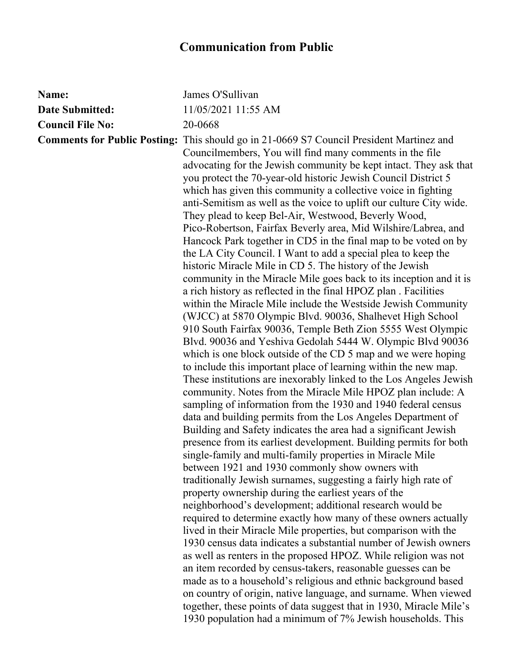## **Communication from Public**

| Name:                   | James O'Sullivan                                                                                                                                                                                                                                                                                                                                                                                                                                                                                                                                                                                                                                                                                                                                                                                                                                                                                                                                                                                                                                                                                                                                                                                                                                                                                                                                                                                                                                                                                                                                                                                                                                                                                                                                                                                                                                                                                                                                                                                                                                                                                                                                                                                                                        |
|-------------------------|-----------------------------------------------------------------------------------------------------------------------------------------------------------------------------------------------------------------------------------------------------------------------------------------------------------------------------------------------------------------------------------------------------------------------------------------------------------------------------------------------------------------------------------------------------------------------------------------------------------------------------------------------------------------------------------------------------------------------------------------------------------------------------------------------------------------------------------------------------------------------------------------------------------------------------------------------------------------------------------------------------------------------------------------------------------------------------------------------------------------------------------------------------------------------------------------------------------------------------------------------------------------------------------------------------------------------------------------------------------------------------------------------------------------------------------------------------------------------------------------------------------------------------------------------------------------------------------------------------------------------------------------------------------------------------------------------------------------------------------------------------------------------------------------------------------------------------------------------------------------------------------------------------------------------------------------------------------------------------------------------------------------------------------------------------------------------------------------------------------------------------------------------------------------------------------------------------------------------------------------|
| <b>Date Submitted:</b>  | 11/05/2021 11:55 AM                                                                                                                                                                                                                                                                                                                                                                                                                                                                                                                                                                                                                                                                                                                                                                                                                                                                                                                                                                                                                                                                                                                                                                                                                                                                                                                                                                                                                                                                                                                                                                                                                                                                                                                                                                                                                                                                                                                                                                                                                                                                                                                                                                                                                     |
| <b>Council File No:</b> | 20-0668                                                                                                                                                                                                                                                                                                                                                                                                                                                                                                                                                                                                                                                                                                                                                                                                                                                                                                                                                                                                                                                                                                                                                                                                                                                                                                                                                                                                                                                                                                                                                                                                                                                                                                                                                                                                                                                                                                                                                                                                                                                                                                                                                                                                                                 |
|                         | <b>Comments for Public Posting:</b> This should go in 21-0669 S7 Council President Martinez and<br>Councilmembers, You will find many comments in the file<br>advocating for the Jewish community be kept intact. They ask that<br>you protect the 70-year-old historic Jewish Council District 5<br>which has given this community a collective voice in fighting<br>anti-Semitism as well as the voice to uplift our culture City wide.<br>They plead to keep Bel-Air, Westwood, Beverly Wood,<br>Pico-Robertson, Fairfax Beverly area, Mid Wilshire/Labrea, and<br>Hancock Park together in CD5 in the final map to be voted on by<br>the LA City Council. I Want to add a special plea to keep the<br>historic Miracle Mile in CD 5. The history of the Jewish<br>community in the Miracle Mile goes back to its inception and it is<br>a rich history as reflected in the final HPOZ plan. Facilities<br>within the Miracle Mile include the Westside Jewish Community<br>(WJCC) at 5870 Olympic Blvd. 90036, Shalhevet High School<br>910 South Fairfax 90036, Temple Beth Zion 5555 West Olympic<br>Blvd. 90036 and Yeshiva Gedolah 5444 W. Olympic Blvd 90036<br>which is one block outside of the CD 5 map and we were hoping<br>to include this important place of learning within the new map.<br>These institutions are inexorably linked to the Los Angeles Jewish<br>community. Notes from the Miracle Mile HPOZ plan include: A<br>sampling of information from the 1930 and 1940 federal census<br>data and building permits from the Los Angeles Department of<br>Building and Safety indicates the area had a significant Jewish<br>presence from its earliest development. Building permits for both<br>single-family and multi-family properties in Miracle Mile<br>between 1921 and 1930 commonly show owners with<br>traditionally Jewish surnames, suggesting a fairly high rate of<br>property ownership during the earliest years of the<br>neighborhood's development; additional research would be<br>required to determine exactly how many of these owners actually<br>lived in their Miracle Mile properties, but comparison with the<br>1930 census data indicates a substantial number of Jewish owners |
|                         | as well as renters in the proposed HPOZ. While religion was not<br>an item recorded by census-takers, reasonable guesses can be                                                                                                                                                                                                                                                                                                                                                                                                                                                                                                                                                                                                                                                                                                                                                                                                                                                                                                                                                                                                                                                                                                                                                                                                                                                                                                                                                                                                                                                                                                                                                                                                                                                                                                                                                                                                                                                                                                                                                                                                                                                                                                         |
|                         | made as to a household's religious and ethnic background based                                                                                                                                                                                                                                                                                                                                                                                                                                                                                                                                                                                                                                                                                                                                                                                                                                                                                                                                                                                                                                                                                                                                                                                                                                                                                                                                                                                                                                                                                                                                                                                                                                                                                                                                                                                                                                                                                                                                                                                                                                                                                                                                                                          |
|                         | on country of origin, native language, and surname. When viewed<br>together, these points of data suggest that in 1930, Miracle Mile's<br>1930 population had a minimum of 7% Jewish households. This                                                                                                                                                                                                                                                                                                                                                                                                                                                                                                                                                                                                                                                                                                                                                                                                                                                                                                                                                                                                                                                                                                                                                                                                                                                                                                                                                                                                                                                                                                                                                                                                                                                                                                                                                                                                                                                                                                                                                                                                                                   |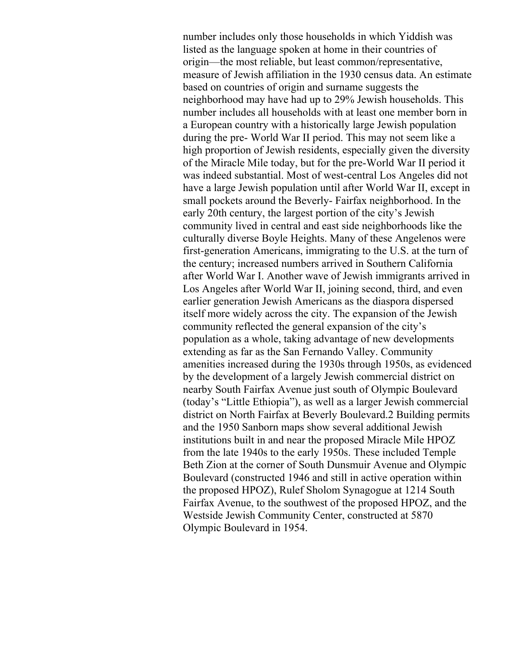number includes only those households in which Yiddish was listed as the language spoken at home in their countries of origin—the most reliable, but least common/representative, measure of Jewish affiliation in the 1930 census data. An estimate based on countries of origin and surname suggests the neighborhood may have had up to 29% Jewish households. This number includes all households with at least one member born in a European country with a historically large Jewish population during the pre- World War II period. This may not seem like a high proportion of Jewish residents, especially given the diversity of the Miracle Mile today, but for the pre-World War II period it was indeed substantial. Most of west-central Los Angeles did not have a large Jewish population until after World War II, except in small pockets around the Beverly- Fairfax neighborhood. In the early 20th century, the largest portion of the city's Jewish community lived in central and east side neighborhoods like the culturally diverse Boyle Heights. Many of these Angelenos were first-generation Americans, immigrating to the U.S. at the turn of the century; increased numbers arrived in Southern California after World War I. Another wave of Jewish immigrants arrived in Los Angeles after World War II, joining second, third, and even earlier generation Jewish Americans as the diaspora dispersed itself more widely across the city. The expansion of the Jewish community reflected the general expansion of the city's population as a whole, taking advantage of new developments extending as far as the San Fernando Valley. Community amenities increased during the 1930s through 1950s, as evidenced by the development of a largely Jewish commercial district on nearby South Fairfax Avenue just south of Olympic Boulevard (today's "Little Ethiopia"), as well as a larger Jewish commercial district on North Fairfax at Beverly Boulevard.2 Building permits and the 1950 Sanborn maps show several additional Jewish institutions built in and near the proposed Miracle Mile HPOZ from the late 1940s to the early 1950s. These included Temple Beth Zion at the corner of South Dunsmuir Avenue and Olympic Boulevard (constructed 1946 and still in active operation within the proposed HPOZ), Rulef Sholom Synagogue at 1214 South Fairfax Avenue, to the southwest of the proposed HPOZ, and the Westside Jewish Community Center, constructed at 5870 Olympic Boulevard in 1954.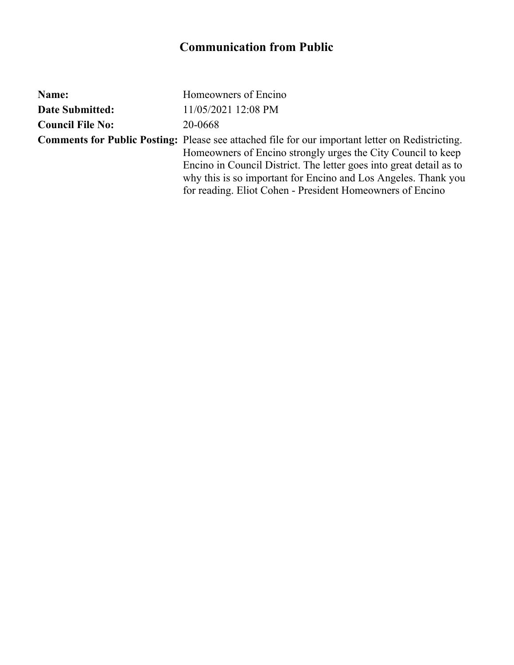## **Communication from Public**

| Name:                   | Homeowners of Encino                                                                                                                                                                                                                                                                                                                                                          |
|-------------------------|-------------------------------------------------------------------------------------------------------------------------------------------------------------------------------------------------------------------------------------------------------------------------------------------------------------------------------------------------------------------------------|
| <b>Date Submitted:</b>  | 11/05/2021 12:08 PM                                                                                                                                                                                                                                                                                                                                                           |
| <b>Council File No:</b> | 20-0668                                                                                                                                                                                                                                                                                                                                                                       |
|                         | <b>Comments for Public Posting:</b> Please see attached file for our important letter on Redistricting.<br>Homeowners of Encino strongly urges the City Council to keep<br>Encino in Council District. The letter goes into great detail as to<br>why this is so important for Encino and Los Angeles. Thank you<br>for reading. Eliot Cohen - President Homeowners of Encino |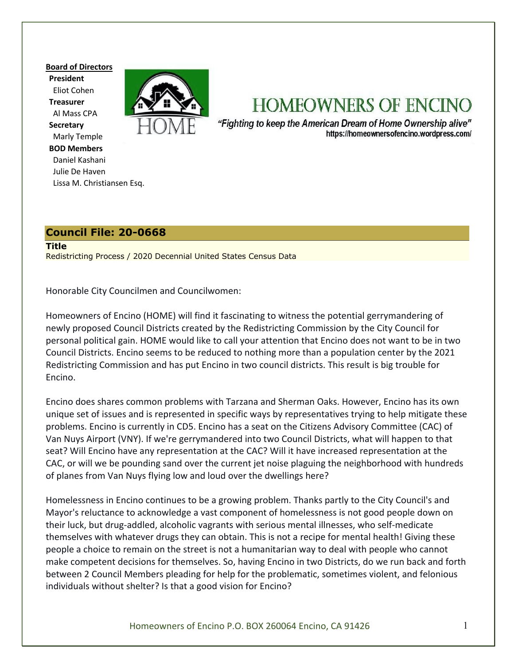**Board of Directors President**  Eliot Cohen  **Treasurer**  Al Mass CPA  **Secretary**  Marly Temple  **BOD Members**  Daniel Kashani Julie De Haven Lissa M. Christiansen Esq.



# **HOMEOWNERS OF ENCINO**

"Fighting to keep the American Dream of Home Ownership alive" https://homeownersofencino.wordpress.com/

#### **Council File: 20-0668**

**Title** Redistricting Process / 2020 Decennial United States Census Data

Honorable City Councilmen and Councilwomen:

Homeowners of Encino (HOME) will find it fascinating to witness the potential gerrymandering of newly proposed Council Districts created by the Redistricting Commission by the City Council for personal political gain. HOME would like to call your attention that Encino does not want to be in two Council Districts. Encino seems to be reduced to nothing more than a population center by the 2021 Redistricting Commission and has put Encino in two council districts. This result is big trouble for Encino.

Encino does shares common problems with Tarzana and Sherman Oaks. However, Encino has its own unique set of issues and is represented in specific ways by representatives trying to help mitigate these problems. Encino is currently in CD5. Encino has a seat on the Citizens Advisory Committee (CAC) of Van Nuys Airport (VNY). If we're gerrymandered into two Council Districts, what will happen to that seat? Will Encino have any representation at the CAC? Will it have increased representation at the CAC, or will we be pounding sand over the current jet noise plaguing the neighborhood with hundreds of planes from Van Nuys flying low and loud over the dwellings here?

Homelessness in Encino continues to be a growing problem. Thanks partly to the City Council's and Mayor's reluctance to acknowledge a vast component of homelessness is not good people down on their luck, but drug-addled, alcoholic vagrants with serious mental illnesses, who self-medicate themselves with whatever drugs they can obtain. This is not a recipe for mental health! Giving these people a choice to remain on the street is not a humanitarian way to deal with people who cannot make competent decisions for themselves. So, having Encino in two Districts, do we run back and forth between 2 Council Members pleading for help for the problematic, sometimes violent, and felonious individuals without shelter? Is that a good vision for Encino?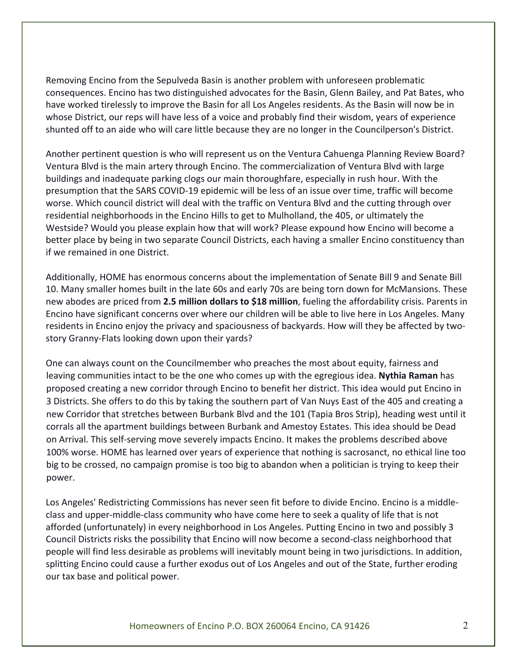Removing Encino from the Sepulveda Basin is another problem with unforeseen problematic consequences. Encino has two distinguished advocates for the Basin, Glenn Bailey, and Pat Bates, who have worked tirelessly to improve the Basin for all Los Angeles residents. As the Basin will now be in whose District, our reps will have less of a voice and probably find their wisdom, years of experience shunted off to an aide who will care little because they are no longer in the Councilperson's District.

Another pertinent question is who will represent us on the Ventura Cahuenga Planning Review Board? Ventura Blvd is the main artery through Encino. The commercialization of Ventura Blvd with large buildings and inadequate parking clogs our main thoroughfare, especially in rush hour. With the presumption that the SARS COVID-19 epidemic will be less of an issue over time, traffic will become worse. Which council district will deal with the traffic on Ventura Blvd and the cutting through over residential neighborhoods in the Encino Hills to get to Mulholland, the 405, or ultimately the Westside? Would you please explain how that will work? Please expound how Encino will become a better place by being in two separate Council Districts, each having a smaller Encino constituency than if we remained in one District.

Additionally, HOME has enormous concerns about the implementation of Senate Bill 9 and Senate Bill 10. Many smaller homes built in the late 60s and early 70s are being torn down for McMansions. These new abodes are priced from **2.5 million dollars to \$18 million**, fueling the affordability crisis. Parents in Encino have significant concerns over where our children will be able to live here in Los Angeles. Many residents in Encino enjoy the privacy and spaciousness of backyards. How will they be affected by twostory Granny-Flats looking down upon their yards?

One can always count on the Councilmember who preaches the most about equity, fairness and leaving communities intact to be the one who comes up with the egregious idea. **Nythia Raman** has proposed creating a new corridor through Encino to benefit her district. This idea would put Encino in 3 Districts. She offers to do this by taking the southern part of Van Nuys East of the 405 and creating a new Corridor that stretches between Burbank Blvd and the 101 (Tapia Bros Strip), heading west until it corrals all the apartment buildings between Burbank and Amestoy Estates. This idea should be Dead on Arrival. This self-serving move severely impacts Encino. It makes the problems described above 100% worse. HOME has learned over years of experience that nothing is sacrosanct, no ethical line too big to be crossed, no campaign promise is too big to abandon when a politician is trying to keep their power.

Los Angeles' Redistricting Commissions has never seen fit before to divide Encino. Encino is a middleclass and upper-middle-class community who have come here to seek a quality of life that is not afforded (unfortunately) in every neighborhood in Los Angeles. Putting Encino in two and possibly 3 Council Districts risks the possibility that Encino will now become a second-class neighborhood that people will find less desirable as problems will inevitably mount being in two jurisdictions. In addition, splitting Encino could cause a further exodus out of Los Angeles and out of the State, further eroding our tax base and political power.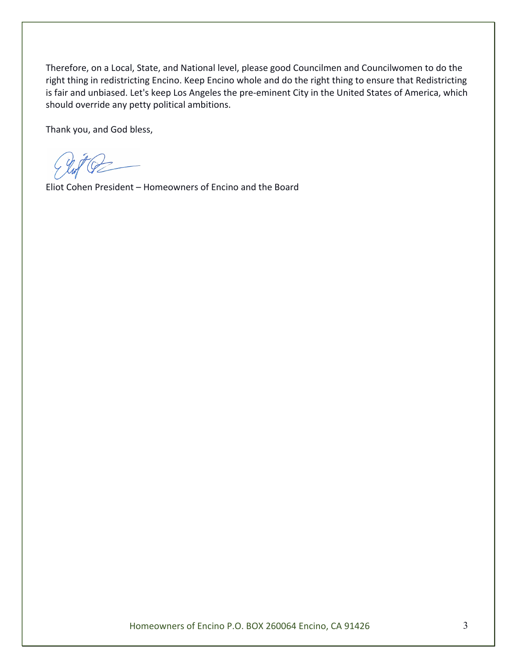Therefore, on a Local, State, and National level, please good Councilmen and Councilwomen to do the right thing in redistricting Encino. Keep Encino whole and do the right thing to ensure that Redistricting is fair and unbiased. Let's keep Los Angeles the pre-eminent City in the United States of America, which should override any petty political ambitions.

Thank you, and God bless,

Eliot Cohen President – Homeowners of Encino and the Board

Homeowners of Encino P.O. BOX 260064 Encino, CA 91426 3